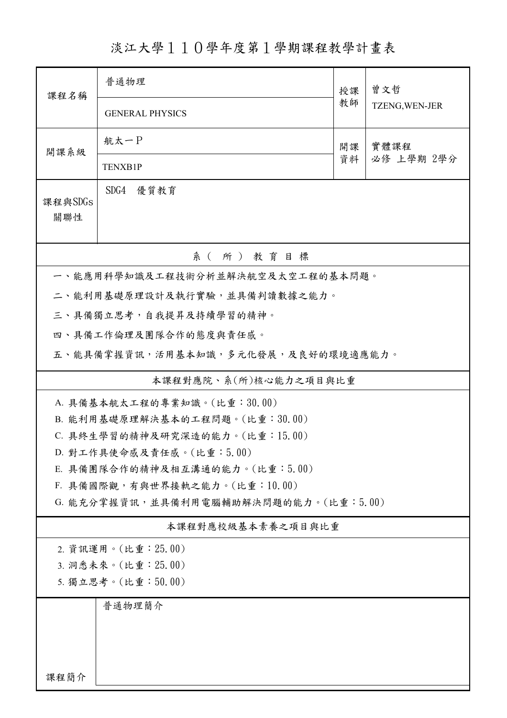淡江大學110學年度第1學期課程教學計畫表

| 課程名稱                                                                   | 普通物理                             | 授課 | 曾文哲            |  |  |  |  |
|------------------------------------------------------------------------|----------------------------------|----|----------------|--|--|--|--|
|                                                                        | <b>GENERAL PHYSICS</b>           | 教師 | TZENG, WEN-JER |  |  |  |  |
| 開課系級                                                                   | 航太一P                             | 開課 |                |  |  |  |  |
|                                                                        | <b>TENXB1P</b>                   | 資料 | 必修 上學期 2學分     |  |  |  |  |
| 課程與SDGs<br>關聯性                                                         | SDG4 優質教育                        |    |                |  |  |  |  |
| 系(所)教育目標                                                               |                                  |    |                |  |  |  |  |
|                                                                        | 一、能應用科學知識及工程技術分析並解決航空及太空工程的基本問題。 |    |                |  |  |  |  |
|                                                                        | 二、能利用基礎原理設計及執行實驗,並具備判讀數據之能力。     |    |                |  |  |  |  |
|                                                                        | 三、具備獨立思考,自我提昇及持續學習的精神。           |    |                |  |  |  |  |
|                                                                        | 四、具備工作倫理及團隊合作的態度與責任感。            |    |                |  |  |  |  |
| 五、能具備掌握資訊,活用基本知識,多元化發展,及良好的環境適應能力。                                     |                                  |    |                |  |  |  |  |
| 本課程對應院、系(所)核心能力之項目與比重                                                  |                                  |    |                |  |  |  |  |
|                                                                        | A. 具備基本航太工程的專業知識。(比重:30.00)      |    |                |  |  |  |  |
| B. 能利用基礎原理解決基本的工程問題。(比重:30.00)                                         |                                  |    |                |  |  |  |  |
|                                                                        | C. 具終生學習的精神及研究深造的能力。(比重:15.00)   |    |                |  |  |  |  |
|                                                                        | D. 對工作具使命感及責任感。(比重:5.00)         |    |                |  |  |  |  |
| E. 具備團隊合作的精神及相互溝通的能力。(比重:5.00)                                         |                                  |    |                |  |  |  |  |
| F. 具備國際觀,有與世界接軌之能力。(比重:10.00)<br>G. 能充分掌握資訊,並具備利用電腦輔助解決問題的能力。(比重:5.00) |                                  |    |                |  |  |  |  |
| 本課程對應校級基本素養之項目與比重                                                      |                                  |    |                |  |  |  |  |
| 2. 資訊運用。(比重: 25.00)                                                    |                                  |    |                |  |  |  |  |
| 3. 洞悉未來。(比重: 25.00)                                                    |                                  |    |                |  |  |  |  |
| 5. 獨立思考。(比重:50.00)                                                     |                                  |    |                |  |  |  |  |
|                                                                        | 普通物理簡介                           |    |                |  |  |  |  |
| 課程簡介                                                                   |                                  |    |                |  |  |  |  |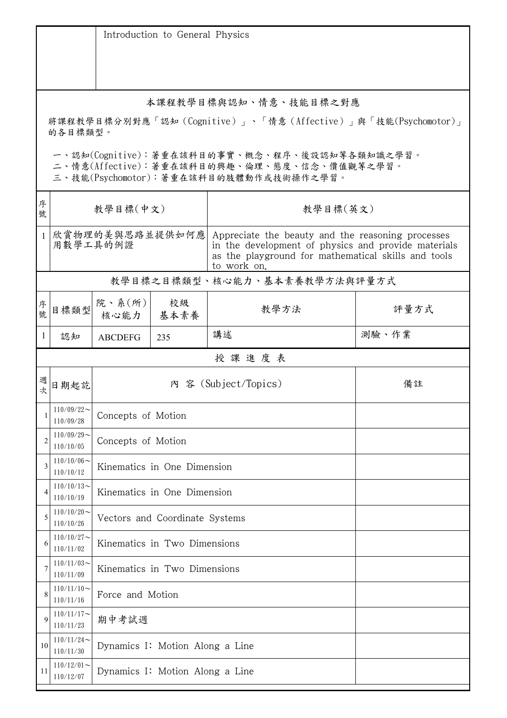|                                                                                                                                        | Introduction to General Physics |                                 |                             |                                                                                                                                                                                |       |  |  |
|----------------------------------------------------------------------------------------------------------------------------------------|---------------------------------|---------------------------------|-----------------------------|--------------------------------------------------------------------------------------------------------------------------------------------------------------------------------|-------|--|--|
| 本課程教學目標與認知、情意、技能目標之對應<br>將課程教學目標分別對應「認知(Cognitive)」、「情意(Affective)」與「技能(Psychomotor)」<br>的各目標類型。                                       |                                 |                                 |                             |                                                                                                                                                                                |       |  |  |
| 一、認知(Cognitive):著重在該科目的事實、概念、程序、後設認知等各類知識之學習。<br>二、情意(Affective):著重在該科目的興趣、倫理、態度、信念、價值觀等之學習。<br>三、技能(Psychomotor):著重在該科目的肢體動作或技術操作之學習。 |                                 |                                 |                             |                                                                                                                                                                                |       |  |  |
| 序<br>號                                                                                                                                 | 教學目標(中文)                        |                                 |                             | 教學目標(英文)                                                                                                                                                                       |       |  |  |
| $\mathbf{1}$                                                                                                                           | 欣賞物理的美與思路並提供如何應<br>用數學工具的例證     |                                 |                             | Appreciate the beauty and the reasoning processes<br>in the development of physics and provide materials<br>as the playground for mathematical skills and tools<br>to work on. |       |  |  |
|                                                                                                                                        |                                 |                                 |                             | 教學目標之目標類型、核心能力、基本素養教學方法與評量方式                                                                                                                                                   |       |  |  |
| 序號                                                                                                                                     | 目標類型                            | 院、系(所)<br>核心能力                  | 校級<br>基本素養                  | 教學方法                                                                                                                                                                           | 評量方式  |  |  |
| 1                                                                                                                                      | 認知                              | <b>ABCDEFG</b>                  | 235                         | 講述                                                                                                                                                                             | 測驗、作業 |  |  |
|                                                                                                                                        |                                 |                                 |                             | 授課進度表                                                                                                                                                                          |       |  |  |
| 坎                                                                                                                                      | 日期起訖                            |                                 |                             | 内 容 (Subject/Topics)                                                                                                                                                           | 備註    |  |  |
|                                                                                                                                        | $110/09/22$ ~<br>110/09/28      | Concepts of Motion              |                             |                                                                                                                                                                                |       |  |  |
| $\overline{2}$                                                                                                                         | $110/09/29$ ~<br>110/10/05      | Concepts of Motion              |                             |                                                                                                                                                                                |       |  |  |
| 3                                                                                                                                      | $110/10/06$ ~<br>110/10/12      |                                 | Kinematics in One Dimension |                                                                                                                                                                                |       |  |  |
| 4                                                                                                                                      | $110/10/13$ ~<br>110/10/19      | Kinematics in One Dimension     |                             |                                                                                                                                                                                |       |  |  |
| 5                                                                                                                                      | $110/10/20$ ~<br>110/10/26      | Vectors and Coordinate Systems  |                             |                                                                                                                                                                                |       |  |  |
| 6                                                                                                                                      | $110/10/27$ ~<br>110/11/02      | Kinematics in Two Dimensions    |                             |                                                                                                                                                                                |       |  |  |
| 7                                                                                                                                      | $110/11/03$ ~<br>110/11/09      | Kinematics in Two Dimensions    |                             |                                                                                                                                                                                |       |  |  |
| 8                                                                                                                                      | $110/11/10$ ~<br>110/11/16      | Force and Motion                |                             |                                                                                                                                                                                |       |  |  |
| 9                                                                                                                                      | $110/11/17$ ~<br>110/11/23      | 期中考試週                           |                             |                                                                                                                                                                                |       |  |  |
| 10                                                                                                                                     | $110/11/24$ ~<br>110/11/30      | Dynamics I: Motion Along a Line |                             |                                                                                                                                                                                |       |  |  |
| 11                                                                                                                                     | $110/12/01$ ~<br>110/12/07      | Dynamics I: Motion Along a Line |                             |                                                                                                                                                                                |       |  |  |